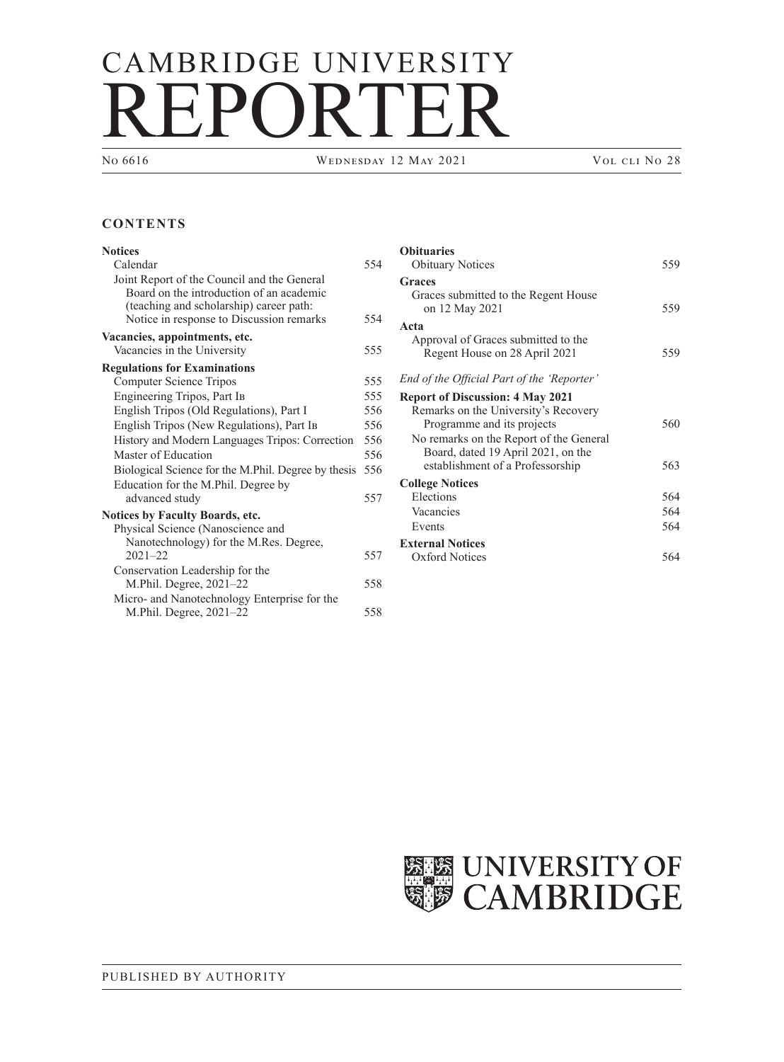# CAMBRIDGE UNIVERSITY REPORTER

WEDNESDAY 12 MAY 2021 VOL CLI NO 28

## **CONTENTS**

| <b>Notices</b>                                      |     |
|-----------------------------------------------------|-----|
| Calendar                                            | 554 |
| Joint Report of the Council and the General         |     |
| Board on the introduction of an academic            |     |
| (teaching and scholarship) career path:             |     |
| Notice in response to Discussion remarks            | 554 |
| Vacancies, appointments, etc.                       |     |
| Vacancies in the University                         | 555 |
| <b>Regulations for Examinations</b>                 |     |
| Computer Science Tripos                             | 555 |
| Engineering Tripos, Part Ib                         | 555 |
| English Tripos (Old Regulations), Part I            | 556 |
| English Tripos (New Regulations), Part IB           | 556 |
| History and Modern Languages Tripos: Correction     | 556 |
| Master of Education                                 | 556 |
| Biological Science for the M.Phil. Degree by thesis | 556 |
| Education for the M.Phil. Degree by                 |     |
| advanced study                                      | 557 |
| <b>Notices by Faculty Boards, etc.</b>              |     |
| Physical Science (Nanoscience and                   |     |
| Nanotechnology) for the M.Res. Degree,              |     |
| $2021 - 22$                                         | 557 |
| Conservation Leadership for the                     |     |
| M. Phil. Degree, 2021–22                            | 558 |
| Micro- and Nanotechnology Enterprise for the        |     |
| M.Phil. Degree, 2021-22                             | 558 |

| <b>Obituaries</b>                                                             |     |
|-------------------------------------------------------------------------------|-----|
| <b>Obituary Notices</b>                                                       | 559 |
| <b>Graces</b><br>Graces submitted to the Regent House<br>on 12 May 2021       | 559 |
| Acta                                                                          |     |
| Approval of Graces submitted to the                                           |     |
| Regent House on 28 April 2021                                                 | 559 |
| End of the Official Part of the 'Reporter'                                    |     |
| <b>Report of Discussion: 4 May 2021</b>                                       |     |
| Remarks on the University's Recovery                                          |     |
| Programme and its projects                                                    | 560 |
| No remarks on the Report of the General<br>Board, dated 19 April 2021, on the |     |
| establishment of a Professorship                                              | 563 |
| <b>College Notices</b>                                                        |     |
| Elections                                                                     | 564 |
| Vacancies                                                                     | 564 |
| Events                                                                        | 564 |
| <b>External Notices</b>                                                       |     |
| Oxford Notices                                                                | 564 |
|                                                                               |     |

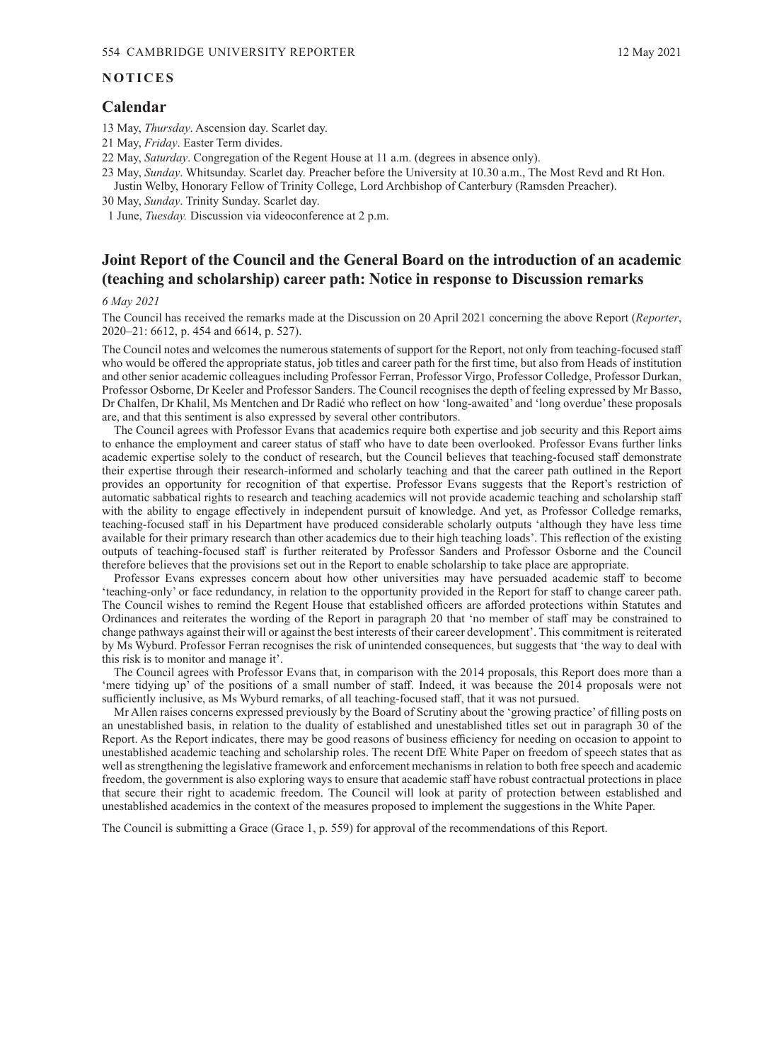#### <span id="page-1-0"></span>**NOTICES**

## **Calendar**

- 13 May, *Thursday*. Ascension day. Scarlet day.
- 21 May, *Friday*. Easter Term divides.
- 22 May, *Saturday*. Congregation of the Regent House at 11 a.m. (degrees in absence only).
- 23 May, *Sunday*. Whitsunday. Scarlet day. Preacher before the University at 10.30 a.m., The Most Revd and Rt Hon. Justin Welby, Honorary Fellow of Trinity College, Lord Archbishop of Canterbury (Ramsden Preacher).
- 30 May, *Sunday*. Trinity Sunday. Scarlet day.

1 June, *Tuesday.* Discussion via videoconference at 2 p.m.

# **Joint Report of the Council and the General Board on the introduction of an academic (teaching and scholarship) career path: Notice in response to Discussion remarks**

#### *6 May 2021*

The Council has received the remarks made at the Discussion on 20 April 2021 concerning the above Report (*Reporter*, 2020–21: [6612, p.](https://www.admin.cam.ac.uk/reporter/2020-21/weekly/6612/6612.pdf#page=13) 454 and [6614, p.](https://www.admin.cam.ac.uk/reporter/2020-21/weekly/6614/6614.pdf#page=35) 527).

The Council notes and welcomes the numerous statements of support for the Report, not only from teaching-focused staff who would be offered the appropriate status, job titles and career path for the first time, but also from Heads of institution and other senior academic colleagues including Professor Ferran, Professor Virgo, Professor Colledge, Professor Durkan, Professor Osborne, Dr Keeler and Professor Sanders. The Council recognises the depth of feeling expressed by Mr Basso, Dr Chalfen, Dr Khalil, Ms Mentchen and Dr Radić who reflect on how 'long-awaited' and 'long overdue' these proposals are, and that this sentiment is also expressed by several other contributors.

The Council agrees with Professor Evans that academics require both expertise and job security and this Report aims to enhance the employment and career status of staff who have to date been overlooked. Professor Evans further links academic expertise solely to the conduct of research, but the Council believes that teaching-focused staff demonstrate their expertise through their research-informed and scholarly teaching and that the career path outlined in the Report provides an opportunity for recognition of that expertise. Professor Evans suggests that the Report's restriction of automatic sabbatical rights to research and teaching academics will not provide academic teaching and scholarship staff with the ability to engage effectively in independent pursuit of knowledge. And yet, as Professor Colledge remarks, teaching-focused staff in his Department have produced considerable scholarly outputs 'although they have less time available for their primary research than other academics due to their high teaching loads'. This reflection of the existing outputs of teaching-focused staff is further reiterated by Professor Sanders and Professor Osborne and the Council therefore believes that the provisions set out in the Report to enable scholarship to take place are appropriate.

Professor Evans expresses concern about how other universities may have persuaded academic staff to become 'teaching-only' or face redundancy, in relation to the opportunity provided in the Report for staff to change career path. The Council wishes to remind the Regent House that established officers are afforded protections within Statutes and Ordinances and reiterates the wording of the Report in paragraph 20 that 'no member of staff may be constrained to change pathways against their will or against the best interests of their career development'. This commitment is reiterated by Ms Wyburd. Professor Ferran recognises the risk of unintended consequences, but suggests that 'the way to deal with this risk is to monitor and manage it'.

The Council agrees with Professor Evans that, in comparison with the 2014 proposals, this Report does more than a 'mere tidying up' of the positions of a small number of staff. Indeed, it was because the 2014 proposals were not sufficiently inclusive, as Ms Wyburd remarks, of all teaching-focused staff, that it was not pursued.

Mr Allen raises concerns expressed previously by the Board of Scrutiny about the 'growing practice' of filling posts on an unestablished basis, in relation to the duality of established and unestablished titles set out in paragraph 30 of the Report. As the Report indicates, there may be good reasons of business efficiency for needing on occasion to appoint to unestablished academic teaching and scholarship roles. The recent DfE White Paper on freedom of speech states that as well as strengthening the legislative framework and enforcement mechanisms in relation to both free speech and academic freedom, the government is also exploring ways to ensure that academic staff have robust contractual protections in place that secure their right to academic freedom. The Council will look at parity of protection between established and unestablished academics in the context of the measures proposed to implement the suggestions in the White Paper.

The Council is submitting a Grace ([Grace](#page-6-0) 1, p. 559) for approval of the recommendations of this Report.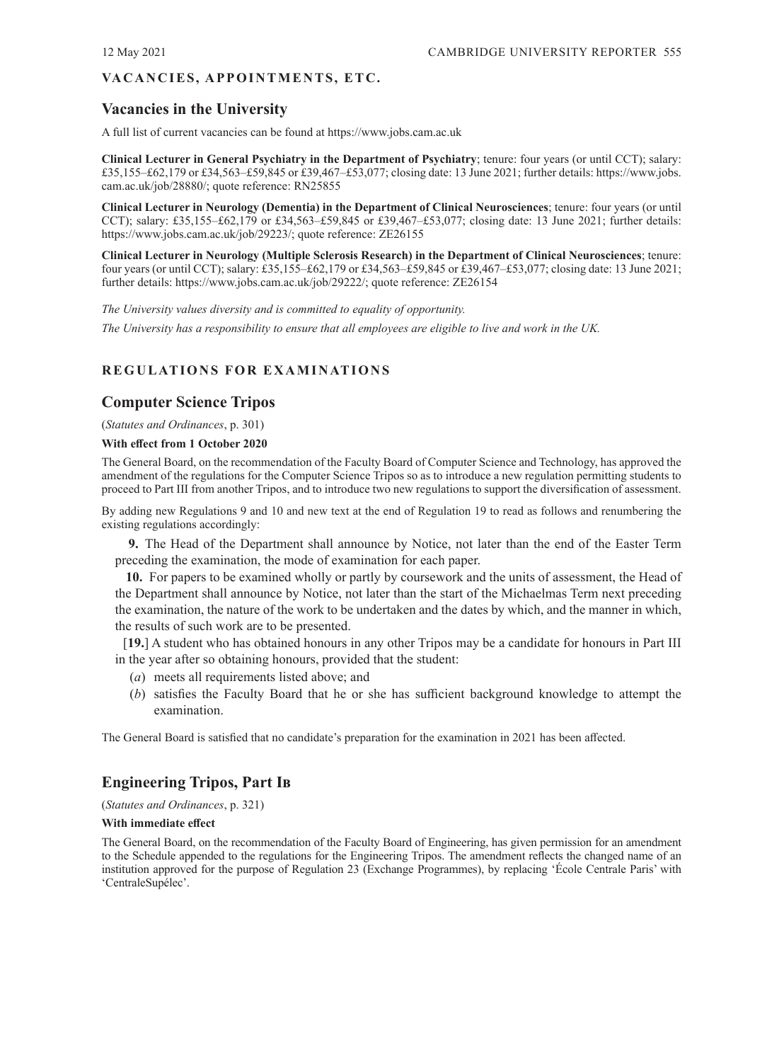## <span id="page-2-0"></span>VA CANCIES, APPOINTMENTS, ETC.

# **Vacancies in the University**

A full list of current vacancies can be found at<https://www.jobs.cam.ac.uk>

**Clinical Lecturer in General Psychiatry in the Department of Psychiatry**; tenure: four years (or until CCT); salary: [£35,155–£62,179 or £34,563–£59,845 or £39,467–£53,077; closing date: 13](https://www.jobs.cam.ac.uk/job/28880/) June 2021; further details: https://www.jobs. cam.ac.uk/job/28880/; quote reference: RN25855

**Clinical Lecturer in Neurology (Dementia) in the Department of Clinical Neurosciences**; tenure: four years (or until CCT); salary: £35,155–£62,179 or £34,563–£59,845 or £39,467–£53,077; closing date: 13 June 2021; further details: [https://www.jobs.cam.ac.uk/job/29223/; qu](https://www.jobs.cam.ac.uk/job/29223/)ote reference: ZE26155

**Clinical Lecturer in Neurology (Multiple Sclerosis Research) in the Department of Clinical Neurosciences**; tenure: four years (or until CCT); salary: £35,155–£62,179 or £34,563–£59,845 or £39,467–£53,077; closing date: 13 June 2021; further details: [https://www.jobs.cam.ac.uk/job/29222/; qu](https://www.jobs.cam.ac.uk/job/29222/)ote reference: ZE26154

*The University values diversity and is committed to equality of opportunity.*

*The University has a responsibility to ensure that all employees are eligible to live and work in the UK.*

# **REGULATIONS FOR EXAMINATIONS**

# **Computer Science Tripos**

(*[Statutes and Ordinances](https://www.admin.cam.ac.uk/univ/so/pdfs/2020/ordinance04.pdf#page=44)*, p. 301)

#### **With effect from 1 October 2020**

The General Board, on the recommendation of the Faculty Board of Computer Science and Technology, has approved the amendment of the regulations for the Computer Science Tripos so as to introduce a new regulation permitting students to proceed to Part III from another Tripos, and to introduce two new regulations to support the diversification of assessment.

By adding new Regulations 9 and 10 and new text at the end of Regulation 19 to read as follows and renumbering the existing regulations accordingly:

**9.** The Head of the Department shall announce by Notice, not later than the end of the Easter Term preceding the examination, the mode of examination for each paper.

**10.** For papers to be examined wholly or partly by coursework and the units of assessment, the Head of the Department shall announce by Notice, not later than the start of the Michaelmas Term next preceding the examination, the nature of the work to be undertaken and the dates by which, and the manner in which, the results of such work are to be presented.

[**19.**] A student who has obtained honours in any other Tripos may be a candidate for honours in Part III in the year after so obtaining honours, provided that the student:

- (*a*) meets all requirements listed above; and
- (*b*) satisfies the Faculty Board that he or she has sufficient background knowledge to attempt the examination.

The General Board is satisfied that no candidate's preparation for the examination in 2021 has been affected.

# **Engineering Tripos, Part Ib**

(*[Statutes and Ordinances](https://www.admin.cam.ac.uk/univ/so/pdfs/2020/ordinance04.pdf#page=64)*, p. 321)

#### **With immediate effect**

The General Board, on the recommendation of the Faculty Board of Engineering, has given permission for an amendment to the Schedule appended to the regulations for the Engineering Tripos. The amendment reflects the changed name of an institution approved for the purpose of Regulation 23 (Exchange Programmes), by replacing 'École Centrale Paris' with 'CentraleSupélec'.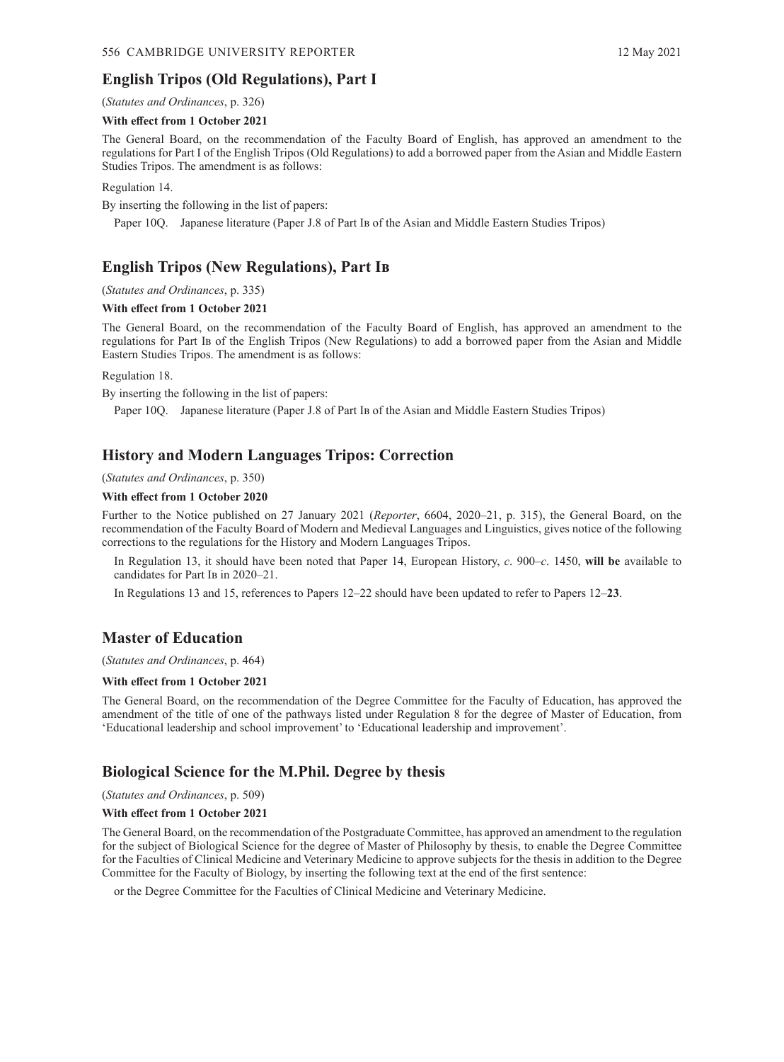## <span id="page-3-0"></span>**English Tripos (Old Regulations), Part I**

## (*[Statutes and Ordinances](https://www.admin.cam.ac.uk/univ/so/pdfs/2020/ordinance04.pdf#page=69)*, p. 326)

#### **With effect from 1 October 2021**

The General Board, on the recommendation of the Faculty Board of English, has approved an amendment to the regulations for Part I of the English Tripos (Old Regulations) to add a borrowed paper from the Asian and Middle Eastern Studies Tripos. The amendment is as follows:

Regulation 14.

By inserting the following in the list of papers:

Paper 10Q. Japanese literature (Paper J.8 of Part Ib of the Asian and Middle Eastern Studies Tripos)

## **English Tripos (New Regulations), Part Ib**

(*[Statutes and Ordinances](https://www.admin.cam.ac.uk/univ/so/pdfs/2020/ordinance04.pdf#page=78)*, p. 335)

#### **With effect from 1 October 2021**

The General Board, on the recommendation of the Faculty Board of English, has approved an amendment to the regulations for Part Ib of the English Tripos (New Regulations) to add a borrowed paper from the Asian and Middle Eastern Studies Tripos. The amendment is as follows:

Regulation 18.

By inserting the following in the list of papers:

Paper 10Q. Japanese literature (Paper J.8 of Part Ib of the Asian and Middle Eastern Studies Tripos)

## **History and Modern Languages Tripos: Correction**

#### (*[Statutes and Ordinances](https://www.admin.cam.ac.uk/univ/so/pdfs/2020/ordinance04.pdf#page=93)*, p. 350)

#### **With effect from 1 October 2020**

Further to the Notice published on 27 January 2021 (*Reporter*[, 6604, 2020–21, p.](https://www.admin.cam.ac.uk/reporter/2020-21/weekly/6604/6604.pdf#page=12) 315), the General Board, on the recommendation of the Faculty Board of Modern and Medieval Languages and Linguistics, gives notice of the following corrections to the regulations for the History and Modern Languages Tripos.

In Regulation 13, it should have been noted that Paper 14, European History, *c*. 900–*c*. 1450, **will be** available to candidates for Part Ib in 2020–21.

In Regulations 13 and 15, references to Papers 12–22 should have been updated to refer to Papers 12–**23**.

## **Master of Education**

(*[Statutes and Ordinances](https://www.admin.cam.ac.uk/univ/so/pdfs/2020/ordinance07.pdf#page=21)*, p. 464)

#### **With effect from 1 October 2021**

The General Board, on the recommendation of the Degree Committee for the Faculty of Education, has approved the amendment of the title of one of the pathways listed under Regulation 8 for the degree of Master of Education, from 'Educational leadership and school improvement' to 'Educational leadership and improvement'.

## **Biological Science for the M.Phil. Degree by thesis**

#### (*[Statutes and Ordinances](https://www.admin.cam.ac.uk/univ/so/pdfs/2020/ordinance07.pdf#page=66)*, p. 509)

#### **With effect from 1 October 2021**

The General Board, on the recommendation of the Postgraduate Committee, has approved an amendment to the regulation for the subject of Biological Science for the degree of Master of Philosophy by thesis, to enable the Degree Committee for the Faculties of Clinical Medicine and Veterinary Medicine to approve subjects for the thesis in addition to the Degree Committee for the Faculty of Biology, by inserting the following text at the end of the first sentence:

or the Degree Committee for the Faculties of Clinical Medicine and Veterinary Medicine.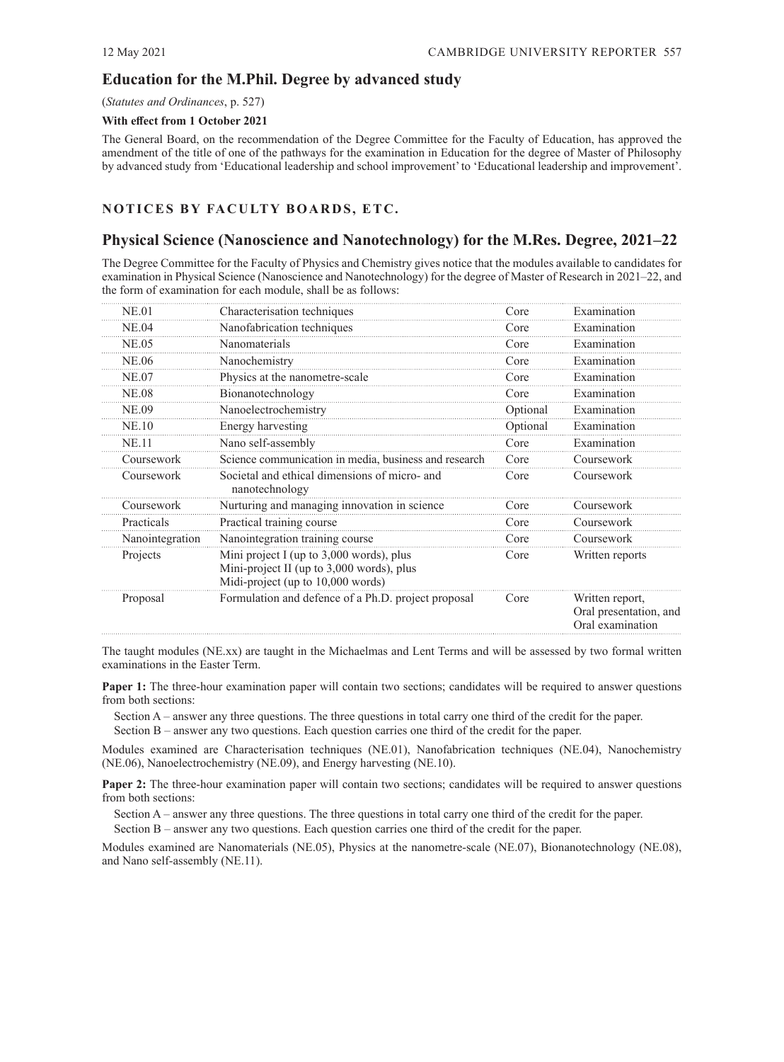# <span id="page-4-0"></span>**Education for the M.Phil. Degree by advanced study**

#### (*[Statutes and Ordinances](https://www.admin.cam.ac.uk/univ/so/pdfs/2020/ordinance07.pdf#page=84)*, p. 527)

#### **With effect from 1 October 2021**

The General Board, on the recommendation of the Degree Committee for the Faculty of Education, has approved the amendment of the title of one of the pathways for the examination in Education for the degree of Master of Philosophy by advanced study from 'Educational leadership and school improvement' to 'Educational leadership and improvement'.

## **NOTICES BY FACULTY BOARDS, ETC.**

# **Physical Science (Nanoscience and Nanotechnology) for the M.Res. Degree, 2021–22**

The Degree Committee for the Faculty of Physics and Chemistry gives notice that the modules available to candidates for examination in Physical Science (Nanoscience and Nanotechnology) for the degree of Master of Research in 2021–22, and the form of examination for each module, shall be as follows:

| NE.01           | Characterisation techniques                                                                                                  | Core     | Examination                                                   |
|-----------------|------------------------------------------------------------------------------------------------------------------------------|----------|---------------------------------------------------------------|
| <b>NE.04</b>    | Nanofabrication techniques                                                                                                   | Core     | Examination                                                   |
| NE.05           | Nanomaterials                                                                                                                | Core     | Examination                                                   |
| <b>NE.06</b>    | Nanochemistry                                                                                                                | Core     | Examination                                                   |
| NE.07           | Physics at the nanometre-scale                                                                                               | Core     | Examination                                                   |
| <b>NE.08</b>    | Bionanotechnology                                                                                                            | Core     | Examination                                                   |
| NE.09           | Nanoelectrochemistry                                                                                                         | Optional | Examination                                                   |
| <b>NE.10</b>    | Energy harvesting                                                                                                            | Optional | Examination                                                   |
| NE.11           | Nano self-assembly                                                                                                           | Core     | Examination                                                   |
| Coursework      | Science communication in media, business and research                                                                        | Core     | Coursework                                                    |
| Coursework      | Societal and ethical dimensions of micro- and<br>nanotechnology                                                              | Core     | Coursework                                                    |
| Coursework      | Nurturing and managing innovation in science                                                                                 | Core     | Coursework                                                    |
| Practicals      | Practical training course                                                                                                    | Core     | Coursework                                                    |
| Nanointegration | Nanointegration training course                                                                                              | Core     | Coursework                                                    |
| Projects        | Mini project I (up to $3,000$ words), plus<br>Mini-project II (up to 3,000 words), plus<br>Midi-project (up to 10,000 words) | Core     | Written reports                                               |
| Proposal        | Formulation and defence of a Ph.D. project proposal                                                                          | Core     | Written report,<br>Oral presentation, and<br>Oral examination |

The taught modules (NE.xx) are taught in the Michaelmas and Lent Terms and will be assessed by two formal written examinations in the Easter Term.

**Paper 1:** The three-hour examination paper will contain two sections; candidates will be required to answer questions from both sections:

Section A – answer any three questions. The three questions in total carry one third of the credit for the paper. Section B – answer any two questions. Each question carries one third of the credit for the paper.

Modules examined are Characterisation techniques (NE.01), Nanofabrication techniques (NE.04), Nanochemistry (NE.06), Nanoelectrochemistry (NE.09), and Energy harvesting (NE.10).

**Paper 2:** The three-hour examination paper will contain two sections; candidates will be required to answer questions from both sections:

Section A – answer any three questions. The three questions in total carry one third of the credit for the paper. Section B – answer any two questions. Each question carries one third of the credit for the paper.

Modules examined are Nanomaterials (NE.05), Physics at the nanometre-scale (NE.07), Bionanotechnology (NE.08), and Nano self-assembly (NE.11).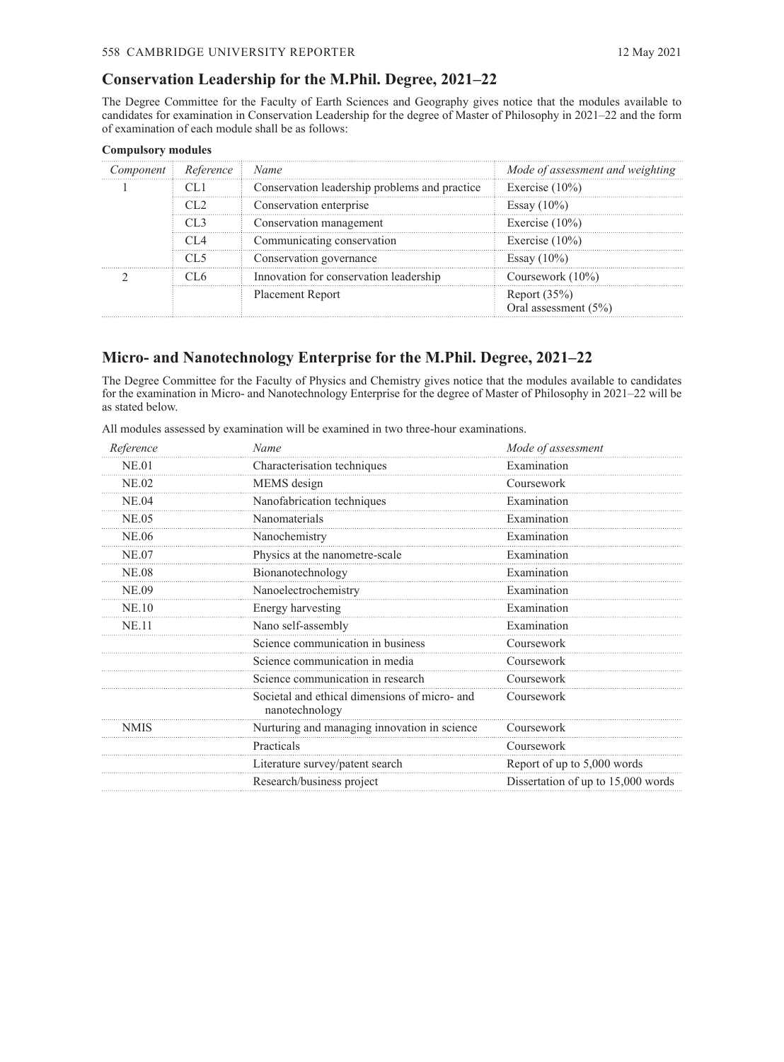## <span id="page-5-0"></span>**Conservation Leadership for the M.Phil. Degree, 2021–22**

The Degree Committee for the Faculty of Earth Sciences and Geography gives notice that the modules available to candidates for examination in Conservation Leadership for the degree of Master of Philosophy in 2021–22 and the form of examination of each module shall be as follows:

| Component i | Reference i Name |                                               | Mode of assessment and weighting |
|-------------|------------------|-----------------------------------------------|----------------------------------|
|             |                  | Conservation leadership problems and practice | Exercise $(10\%)$                |
|             |                  | Conservation enterprise                       | Essay $(10\%)$                   |
|             |                  | Conservation management                       | Exercise $(10\%)$                |
|             |                  | Communicating conservation                    | Exercise $(10\%)$                |
|             |                  | Conservation governance                       | Essay $(10\%)$                   |
|             |                  | Innovation for conservation leadership        | Coursework $(10\%)$              |
|             |                  | <b>Placement Report</b>                       | Report $(35\%)$                  |
|             |                  |                                               | Oral assessment (5%)             |

#### **Compulsory modules**

# **Micro- and Nanotechnology Enterprise for the M.Phil. Degree, 2021–22**

The Degree Committee for the Faculty of Physics and Chemistry gives notice that the modules available to candidates for the examination in Micro- and Nanotechnology Enterprise for the degree of Master of Philosophy in 2021–22 will be as stated below.

| All modules assessed by examination will be examined in two three-hour examinations. |  |  |  |  |  |
|--------------------------------------------------------------------------------------|--|--|--|--|--|
|--------------------------------------------------------------------------------------|--|--|--|--|--|

| Reference    | Name                                                            | Mode of assessment                 |  |
|--------------|-----------------------------------------------------------------|------------------------------------|--|
| <b>NE.01</b> | Characterisation techniques                                     | Examination                        |  |
| <b>NE.02</b> | MEMS design                                                     | Coursework                         |  |
| <b>NE.04</b> | Nanofabrication techniques                                      | Examination                        |  |
| <b>NE.05</b> | Nanomaterials                                                   | Examination                        |  |
| NE.06        | Nanochemistry                                                   | Examination                        |  |
| <b>NE.07</b> | Physics at the nanometre-scale                                  | Examination                        |  |
| <b>NE.08</b> | Bionanotechnology                                               | Examination                        |  |
| <b>NE.09</b> | Nanoelectrochemistry                                            | Examination                        |  |
| <b>NE.10</b> | Energy harvesting                                               | Examination                        |  |
| <b>NE.11</b> | Nano self-assembly                                              | Examination                        |  |
|              | Science communication in business                               | Coursework                         |  |
|              | Science communication in media                                  | Coursework                         |  |
|              | Science communication in research                               | Coursework                         |  |
|              | Societal and ethical dimensions of micro- and<br>nanotechnology | Coursework                         |  |
| <b>NMIS</b>  | Nurturing and managing innovation in science                    | Coursework                         |  |
|              | Practicals                                                      | Coursework                         |  |
|              | Literature survey/patent search                                 | Report of up to 5,000 words        |  |
|              | Research/business project                                       | Dissertation of up to 15,000 words |  |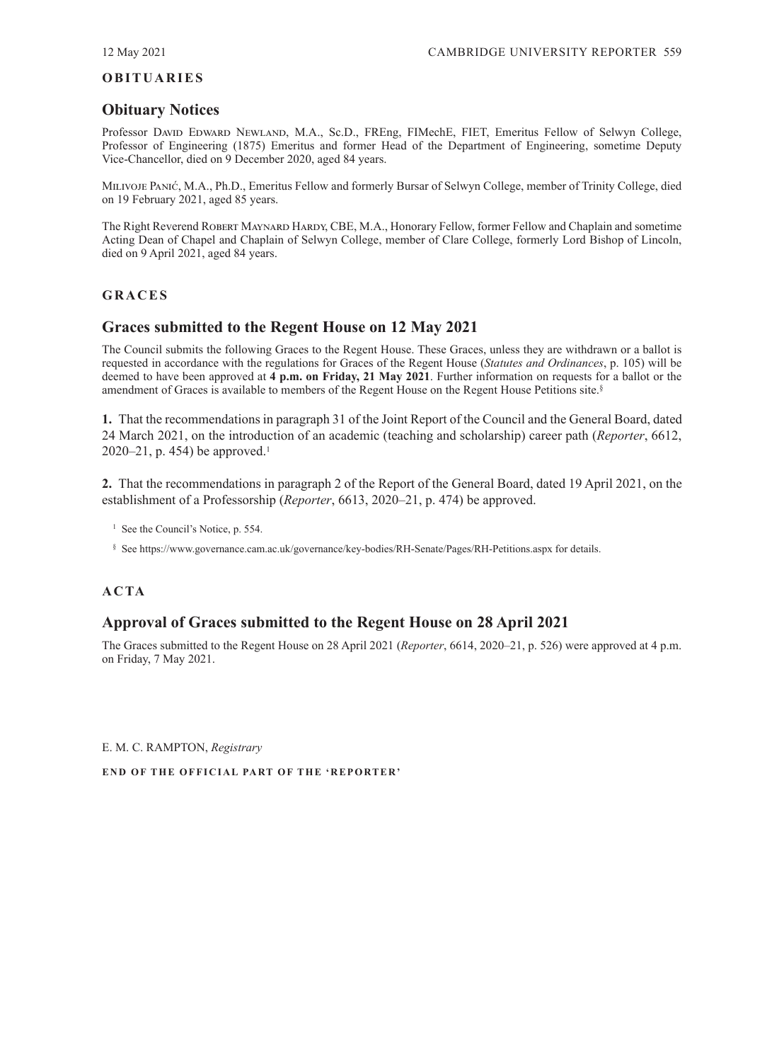## <span id="page-6-0"></span>**OBITUARIES**

# **Obituary Notices**

Professor David Edward Newland, M.A., Sc.D., FREng, FIMechE, FIET, Emeritus Fellow of Selwyn College, Professor of Engineering (1875) Emeritus and former Head of the Department of Engineering, sometime Deputy Vice‑Chancellor, died on 9 December 2020, aged 84 years.

Milivoje Panić, M.A., Ph.D., Emeritus Fellow and formerly Bursar of Selwyn College, member of Trinity College, died on 19 February 2021, aged 85 years.

The Right Reverend Robert Maynard Hardy, CBE, M.A., Honorary Fellow, former Fellow and Chaplain and sometime Acting Dean of Chapel and Chaplain of Selwyn College, member of Clare College, formerly Lord Bishop of Lincoln, died on 9 April 2021, aged 84 years.

## **GRACES**

# **Graces submitted to the Regent House on 12 May 2021**

The Council submits the following Graces to the Regent House. These Graces, unless they are withdrawn or a ballot is requested in accordance with the regulations for Graces of the Regent House (*[Statutes and Ordinances](https://www.admin.cam.ac.uk/univ/so/pdfs/2020/ordinance01.pdf#page=3)*, p. 105) will be deemed to have been approved at **4 p.m. on Friday, 21 May 2021**. Further information on requests for a ballot or the amendment of Graces is available to members of the Regent House on the Regent House Petitions site.§

**1.** That the recommendations in paragraph 31 of the Joint Report of the Council and the General Board, dated [24 March 2021, on the introduction of an academic \(teaching and scholarship\) career path \(](https://www.admin.cam.ac.uk/reporter/2020-21/weekly/6612/6612.pdf#page=13)*Reporter*, 6612, 2020–21, p. 454) be approved.<sup>1</sup>

**2.** That the recommendations in paragraph 2 of the Report of the General Board, dated 19 April 2021, on the establishment of a Professorship (*Reporter*[, 6613, 2020–21, p. 474](https://www.admin.cam.ac.uk/reporter/2020-21/weekly/6613/6613_public.pdf#page=7)) be approved.

<sup>1</sup> See the Council's [Notice, p.](#page-1-0) 554.

§ See [https://www.governance.cam.ac.uk/governance/key-bodies/RH-Senate/Pages/RH-Petitions.aspx fo](https://www.governance.cam.ac.uk/governance/key-bodies/RH-Senate/Pages/RH-Petitions.aspx)r details.

# **ACTA**

# **Approval of Graces submitted to the Regent House on 28 April 2021**

The Graces submitted to the Regent House on 28 April 2021 (*Reporter*[, 6614, 2020–21, p.](https://www.admin.cam.ac.uk/reporter/2020-21/weekly/6614/6614.pdf#page=34) 526) were approved at 4 p.m. on Friday, 7 May 2021.

E. M. C. RAMPTON, *Registrary*

**END OF THE OFFICIAL PART OF THE 'REPORTER'**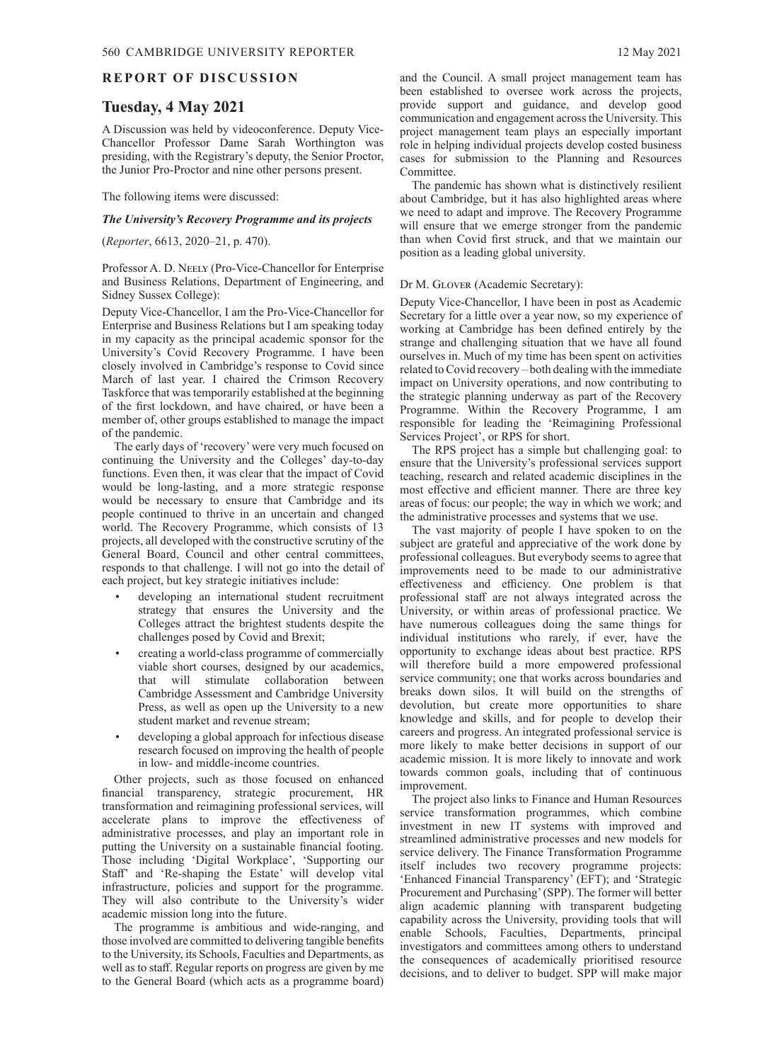#### <span id="page-7-0"></span>**REPORT OF DISCUSSION**

## **Tuesday, 4 May 2021**

A Discussion was held by videoconference. Deputy Vice-Chancellor Professor Dame Sarah Worthington was presiding, with the Registrary's deputy, the Senior Proctor, the Junior Pro-Proctor and nine other persons present.

The following items were discussed:

#### *The University's Recovery Programme and its projects*

(*Reporter*[, 6613, 2020–21, p.](https://www.admin.cam.ac.uk/reporter/2020-21/weekly/6613/6613_public.pdf#page=3) 470).

Professor A. D. Neely (Pro-Vice-Chancellor for Enterprise and Business Relations, Department of Engineering, and Sidney Sussex College):

Deputy Vice-Chancellor, I am the Pro-Vice-Chancellor for Enterprise and Business Relations but I am speaking today in my capacity as the principal academic sponsor for the University's Covid Recovery Programme. I have been closely involved in Cambridge's response to Covid since March of last year. I chaired the Crimson Recovery Taskforce that was temporarily established at the beginning of the first lockdown, and have chaired, or have been a member of, other groups established to manage the impact of the pandemic.

The early days of 'recovery' were very much focused on continuing the University and the Colleges' day-to-day functions. Even then, it was clear that the impact of Covid would be long-lasting, and a more strategic response would be necessary to ensure that Cambridge and its people continued to thrive in an uncertain and changed world. The Recovery Programme, which consists of 13 projects, all developed with the constructive scrutiny of the General Board, Council and other central committees, responds to that challenge. I will not go into the detail of each project, but key strategic initiatives include:

- developing an international student recruitment strategy that ensures the University and the Colleges attract the brightest students despite the challenges posed by Covid and Brexit;
- creating a world-class programme of commercially viable short courses, designed by our academics, that will stimulate collaboration between Cambridge Assessment and Cambridge University Press, as well as open up the University to a new student market and revenue stream;
- developing a global approach for infectious disease research focused on improving the health of people in low- and middle-income countries.

Other projects, such as those focused on enhanced financial transparency, strategic procurement, HR transformation and reimagining professional services, will accelerate plans to improve the effectiveness of administrative processes, and play an important role in putting the University on a sustainable financial footing. Those including 'Digital Workplace', 'Supporting our Staff' and 'Re-shaping the Estate' will develop vital infrastructure, policies and support for the programme. They will also contribute to the University's wider academic mission long into the future.

The programme is ambitious and wide-ranging, and those involved are committed to delivering tangible benefits to the University, its Schools, Faculties and Departments, as well as to staff. Regular reports on progress are given by me to the General Board (which acts as a programme board)

The pandemic has shown what is distinctively resilient about Cambridge, but it has also highlighted areas where we need to adapt and improve. The Recovery Programme will ensure that we emerge stronger from the pandemic than when Covid first struck, and that we maintain our position as a leading global university.

#### Dr M. Glover (Academic Secretary):

Deputy Vice-Chancellor, I have been in post as Academic Secretary for a little over a year now, so my experience of working at Cambridge has been defined entirely by the strange and challenging situation that we have all found ourselves in. Much of my time has been spent on activities related to Covid recovery – both dealing with the immediate impact on University operations, and now contributing to the strategic planning underway as part of the Recovery Programme. Within the Recovery Programme, I am responsible for leading the 'Reimagining Professional Services Project', or RPS for short.

The RPS project has a simple but challenging goal: to ensure that the University's professional services support teaching, research and related academic disciplines in the most effective and efficient manner. There are three key areas of focus: our people; the way in which we work; and the administrative processes and systems that we use.

The vast majority of people I have spoken to on the subject are grateful and appreciative of the work done by professional colleagues. But everybody seems to agree that improvements need to be made to our administrative effectiveness and efficiency. One problem is that professional staff are not always integrated across the University, or within areas of professional practice. We have numerous colleagues doing the same things for individual institutions who rarely, if ever, have the opportunity to exchange ideas about best practice. RPS will therefore build a more empowered professional service community; one that works across boundaries and breaks down silos. It will build on the strengths of devolution, but create more opportunities to share knowledge and skills, and for people to develop their careers and progress. An integrated professional service is more likely to make better decisions in support of our academic mission. It is more likely to innovate and work towards common goals, including that of continuous improvement.

The project also links to Finance and Human Resources service transformation programmes, which combine investment in new IT systems with improved and streamlined administrative processes and new models for service delivery. The Finance Transformation Programme itself includes two recovery programme projects: 'Enhanced Financial Transparency' (EFT); and 'Strategic Procurement and Purchasing' (SPP). The former will better align academic planning with transparent budgeting capability across the University, providing tools that will enable Schools, Faculties, Departments, principal investigators and committees among others to understand the consequences of academically prioritised resource decisions, and to deliver to budget. SPP will make major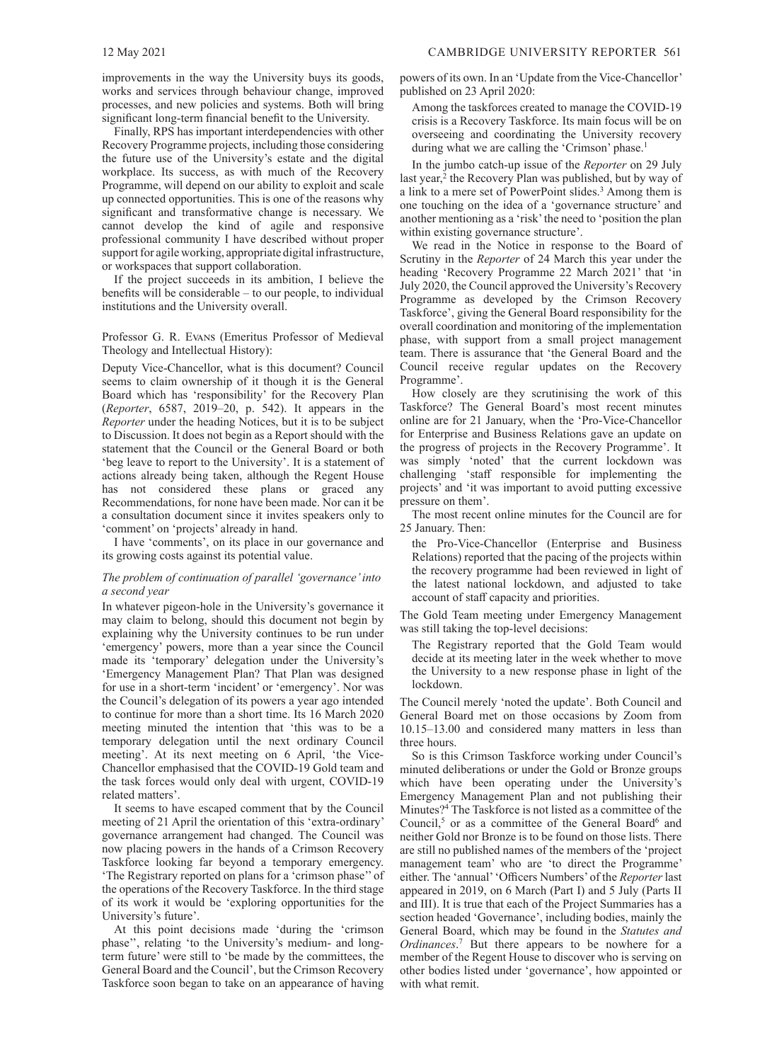improvements in the way the University buys its goods, works and services through behaviour change, improved processes, and new policies and systems. Both will bring significant long-term financial benefit to the University.

Finally, RPS has important interdependencies with other Recovery Programme projects, including those considering the future use of the University's estate and the digital workplace. Its success, as with much of the Recovery Programme, will depend on our ability to exploit and scale up connected opportunities. This is one of the reasons why significant and transformative change is necessary. We cannot develop the kind of agile and responsive professional community I have described without proper support for agile working, appropriate digital infrastructure, or workspaces that support collaboration.

If the project succeeds in its ambition, I believe the benefits will be considerable – to our people, to individual institutions and the University overall.

#### Professor G. R. Evans (Emeritus Professor of Medieval Theology and Intellectual History):

Deputy Vice-Chancellor, what is this document? Council seems to claim ownership of it though it is the General Board which has 'responsibility' for the Recovery Plan (*Reporter*[, 6587, 2019–20, p.](https://www.admin.cam.ac.uk/reporter/2019-20/weekly/6587/section1.shtml#heading2-14) 542). It appears in the *Reporter* under the heading Notices, but it is to be subject to Discussion. It does not begin as a Report should with the statement that the Council or the General Board or both 'beg leave to report to the University'. It is a statement of actions already being taken, although the Regent House has not considered these plans or graced any Recommendations, for none have been made. Nor can it be a consultation document since it invites speakers only to 'comment' on 'projects' already in hand.

I have 'comments', on its place in our governance and its growing costs against its potential value.

#### *The problem of continuation of parallel 'governance' into a second year*

In whatever pigeon-hole in the University's governance it may claim to belong, should this document not begin by explaining why the University continues to be run under 'emergency' powers, more than a year since the Council made its 'temporary' delegation under the University's 'Emergency Management Plan? That Plan was designed for use in a short-term 'incident' or 'emergency'. Nor was the Council's delegation of its powers a year ago intended to continue for more than a short time. Its 16 March 2020 meeting minuted the intention that 'this was to be a temporary delegation until the next ordinary Council meeting'. At its next meeting on 6 April, 'the Vice-Chancellor emphasised that the COVID-19 Gold team and the task forces would only deal with urgent, COVID-19 related matters'.

It seems to have escaped comment that by the Council meeting of 21 April the orientation of this 'extra-ordinary' governance arrangement had changed. The Council was now placing powers in the hands of a Crimson Recovery Taskforce looking far beyond a temporary emergency. 'The Registrary reported on plans for a 'crimson phase'' of the operations of the Recovery Taskforce. In the third stage of its work it would be 'exploring opportunities for the University's future'.

At this point decisions made 'during the 'crimson phase'', relating 'to the University's medium- and longterm future' were still to 'be made by the committees, the General Board and the Council', but the Crimson Recovery Taskforce soon began to take on an appearance of having powers of its own. In an 'Update from the Vice-Chancellor' published on 23 April 2020:

Among the taskforces created to manage the COVID-19 crisis is a Recovery Taskforce. Its main focus will be on overseeing and coordinating the University recovery during what we are calling the 'Crimson' phase.<sup>1</sup>

In the jumbo catch-up issue of the *Reporter* on 29 July last year,<sup>2</sup> the Recovery Plan was published, but by way of a link to a mere set of PowerPoint slides.<sup>3</sup> Among them is one touching on the idea of a 'governance structure' and another mentioning as a 'risk' the need to 'position the plan within existing governance structure'.

We read in the Notice in response to the Board of Scrutiny in the *Reporter* of 24 [March this year](https://www.admin.cam.ac.uk/reporter/2020-21/weekly/6612/6612.pdf#page=6) under the heading 'Recovery Programme 22 March 2021' that 'in July 2020, the Council approved the University's Recovery Programme as developed by the Crimson Recovery Taskforce', giving the General Board responsibility for the overall coordination and monitoring of the implementation phase, with support from a small project management team. There is assurance that 'the General Board and the Council receive regular updates on the Recovery Programme'.

How closely are they scrutinising the work of this Taskforce? The General Board's most recent minutes online are for 21 January, when the 'Pro-Vice-Chancellor for Enterprise and Business Relations gave an update on the progress of projects in the Recovery Programme'. It was simply 'noted' that the current lockdown was challenging 'staff responsible for implementing the projects' and 'it was important to avoid putting excessive pressure on them'.

The most recent online minutes for the Council are for 25 January. Then:

the Pro-Vice-Chancellor (Enterprise and Business Relations) reported that the pacing of the projects within the recovery programme had been reviewed in light of the latest national lockdown, and adjusted to take account of staff capacity and priorities.

The Gold Team meeting under Emergency Management was still taking the top-level decisions:

The Registrary reported that the Gold Team would decide at its meeting later in the week whether to move the University to a new response phase in light of the lockdown.

The Council merely 'noted the update'. Both Council and General Board met on those occasions by Zoom from 10.15–13.00 and considered many matters in less than three hours.

So is this Crimson Taskforce working under Council's minuted deliberations or under the Gold or Bronze groups which have been operating under the University's Emergency Management Plan and not publishing their Minutes?4 The Taskforce is not listed as a committee of the Council,<sup>5</sup> or as a committee of the General Board<sup>6</sup> and neither Gold nor Bronze is to be found on those lists. There are still no published names of the members of the 'project management team' who are 'to direct the Programme' either. The 'annual' 'Officers Numbers' of the *Reporter* last appeared in 2019, on 6 [March \(Part](https://www.admin.cam.ac.uk/reporter/2018-19/special/05/) I) and 5 July (Parts II and [III\). It is true that each of the Project Summaries has a](https://www.admin.cam.ac.uk/reporter/2018-19/special/06/)  section headed 'Governance', including bodies, mainly the General Board, which may be found in the *Statutes and Ordinances*. 7 But there appears to be nowhere for a member of the Regent House to discover who is serving on other bodies listed under 'governance', how appointed or with what remit.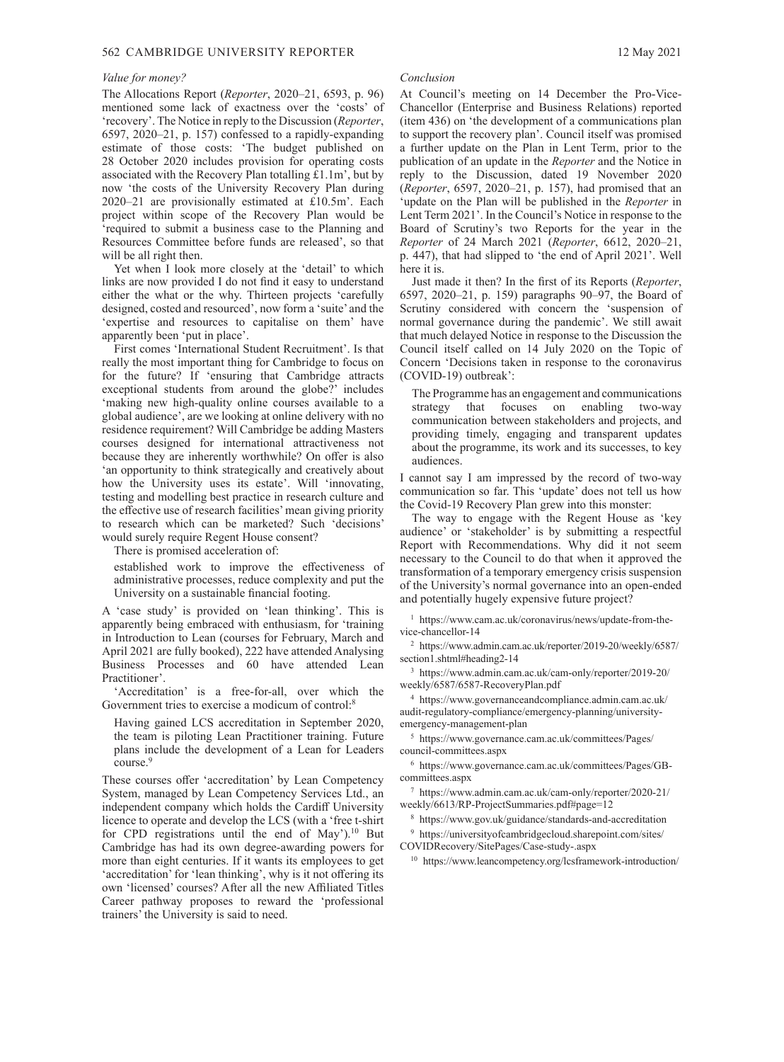#### 562 CAMBRIDGE UNIVERSITY REPORTER 12 May 2021

#### *Value for money?*

The Allocations Report (*Reporter*[, 2020–21, 6593, p.](https://www.admin.cam.ac.uk/reporter/2020-21/weekly/6593/6593.pdf#page=14) 96) mentioned some lack of exactness over the 'costs' of ['recovery'. The Notice in reply to the Discussion \(](https://www.admin.cam.ac.uk/reporter/2020-21/weekly/6597/6597.pdf#page=4)*Reporter*, 6597, 2020–21, p. 157) confessed to a rapidly-expanding estimate of those costs: 'The budget published on 28 October 2020 includes provision for operating costs associated with the Recovery Plan totalling  $\hat{\pounds}1.1m$ , but by now 'the costs of the University Recovery Plan during 2020–21 are provisionally estimated at £10.5m'. Each project within scope of the Recovery Plan would be 'required to submit a business case to the Planning and Resources Committee before funds are released', so that will be all right then.

Yet when I look more closely at the 'detail' to which links are now provided I do not find it easy to understand either the what or the why. Thirteen projects 'carefully designed, costed and resourced', now form a 'suite' and the 'expertise and resources to capitalise on them' have apparently been 'put in place'.

First comes 'International Student Recruitment'. Is that really the most important thing for Cambridge to focus on for the future? If 'ensuring that Cambridge attracts exceptional students from around the globe?' includes 'making new high-quality online courses available to a global audience', are we looking at online delivery with no residence requirement? Will Cambridge be adding Masters courses designed for international attractiveness not because they are inherently worthwhile? On offer is also 'an opportunity to think strategically and creatively about how the University uses its estate'. Will 'innovating, testing and modelling best practice in research culture and the effective use of research facilities' mean giving priority to research which can be marketed? Such 'decisions' would surely require Regent House consent?

There is promised acceleration of:

established work to improve the effectiveness of administrative processes, reduce complexity and put the University on a sustainable financial footing.

A 'case study' is provided on 'lean thinking'. This is apparently being embraced with enthusiasm, for 'training in Introduction to Lean (courses for February, March and April 2021 are fully booked), 222 have attended Analysing Business Processes and 60 have attended Lean Practitioner'.

'Accreditation' is a free-for-all, over which the Government tries to exercise a modicum of control:<sup>8</sup>

Having gained LCS accreditation in September 2020, the team is piloting Lean Practitioner training. Future plans include the development of a Lean for Leaders course.<sup>9</sup>

These courses offer 'accreditation' by Lean Competency System, managed by Lean Competency Services Ltd., an independent company which holds the Cardiff University licence to operate and develop the LCS (with a 'free t-shirt for CPD registrations until the end of May').<sup>10</sup> But Cambridge has had its own degree-awarding powers for more than eight centuries. If it wants its employees to get 'accreditation' for 'lean thinking', why is it not offering its own 'licensed' courses? After all the new Affiliated Titles Career pathway proposes to reward the 'professional trainers' the University is said to need.

#### *Conclusion*

At Council's meeting on 14 December the Pro-Vice-Chancellor (Enterprise and Business Relations) reported (item 436) on 'the development of a communications plan to support the recovery plan'. Council itself was promised a further update on the Plan in Lent Term, prior to the publication of an update in the *Reporter* and the Notice in reply to the Discussion, dated 19 November 2020 (*Reporter*[, 6597, 2020–21, p.](https://www.admin.cam.ac.uk/reporter/2020-21/weekly/6597/6597.pdf#page=4) 157), had promised that an 'update on the Plan will be published in the *Reporter* in Lent Term 2021'. In the Council's Notice in response to the Board of Scrutiny's two Reports for the year in the *Reporter* of 24 March 2021 (*Reporter*, 6612, 2020–21, p. [447\), that had slipped to 'the end of April 2021'. Well](https://www.admin.cam.ac.uk/reporter/2020-21/weekly/6612/6612.pdf#page=6)  here it is.

Just made it then? In the first of its Reports (*Reporter*, [6597, 2020–21, p.](https://www.admin.cam.ac.uk/reporter/2020-21/weekly/6597/6597.pdf#page=6) 159) paragraphs [90–97,](https://www.admin.cam.ac.uk/reporter/2020-21/weekly/6597/6597.pdf#page=16) the Board of Scrutiny considered with concern the 'suspension of normal governance during the pandemic'. We still await that much delayed Notice in response to the Discussion the Council itself called on 14 July 2020 on the Topic of [Concern 'Decisions taken in response to the coronavirus](https://www.admin.cam.ac.uk/reporter/2019-20/weekly/6587/section7.shtml)  (COVID-19) outbreak':

The Programme has an engagement and communications strategy that focuses on enabling two-way communication between stakeholders and projects, and providing timely, engaging and transparent updates about the programme, its work and its successes, to key audiences.

I cannot say I am impressed by the record of two-way communication so far. This 'update' does not tell us how the Covid-19 Recovery Plan grew into this monster:

The way to engage with the Regent House as 'key audience' or 'stakeholder' is by submitting a respectful Report with Recommendations. Why did it not seem necessary to the Council to do that when it approved the transformation of a temporary emergency crisis suspension of the University's normal governance into an open-ended and potentially hugely expensive future project?

<sup>1</sup> [https://www.cam.ac.uk/coronavirus/news/update-from-the](https://www.cam.ac.uk/coronavirus/news/update-from-the-vice-chancellor-14)vice-[chancellor-14](https://www.cam.ac.uk/coronavirus/news/update-from-the-vice-chancellor-14) 

<sup>2</sup> [h](https://www.admin.cam.ac.uk/reporter/2019-20/weekly/6587/section1.shtml#heading2-14)[ttps://www.admin.cam.ac.uk/reporter/2019-20/weekly/6587/](https://www.admin.cam.ac.uk/reporter/2019-20/weekly/6587/) section1.shtml#heading2-14

<sup>3</sup> [https://www.admin.cam.ac.uk/cam-only/reporter/2019-20/](https://www.admin.cam.ac.uk/cam-only/reporter/2019-20/weekly/6587/6587-RecoveryPlan.pdf) weekly/6587/6587-RecoveryPlan.pdf

<sup>4</sup> https://www.governanceandcompliance.admin.cam.ac.uk/ [audit-regulatory-compliance/emergency-planning/university](https://www.governanceandcompliance.admin.cam.ac.uk/audit-regulatory-compliance/emergency-planning/university-emergency-management-plan)emergency-management-plan

<sup>5</sup> [https://www.governance.cam.ac.uk/committees/Pages/](https://www.governance.cam.ac.uk/committees/Pages/council-committees.aspx) council-committees.aspx

<sup>6</sup> [https://www.governance.cam.ac.uk/committees/Pages/GB](https://www.governance.cam.ac.uk/committees/Pages/GB-committees.aspx)committees.[aspx](https://www.governance.cam.ac.uk/committees/Pages/GB-committees.aspx) 

<sup>7</sup> [https://www.admin.cam.ac.uk/cam-only/reporter/2020-21/](https://www.admin.cam.ac.uk/cam-only/reporter/2020-21/weekly/6613/RP-ProjectSummaries.pdf#page=12) weekly/6613/RP-ProjectSummaries.pdf#page=12

<sup>8</sup> <https://www.gov.uk/guidance/standards-and-accreditation>

<sup>9</sup> [https://universityofcambridgecloud.sharepoint.com/sites/](https://universityofcambridgecloud.sharepoint.com/sites/COVIDRecovery/SitePages/Case-study-.aspx)

COVIDRecovery/SitePages/Case-study-.aspx

<sup>10</sup> <https://www.leancompetency.org/lcsframework-introduction/>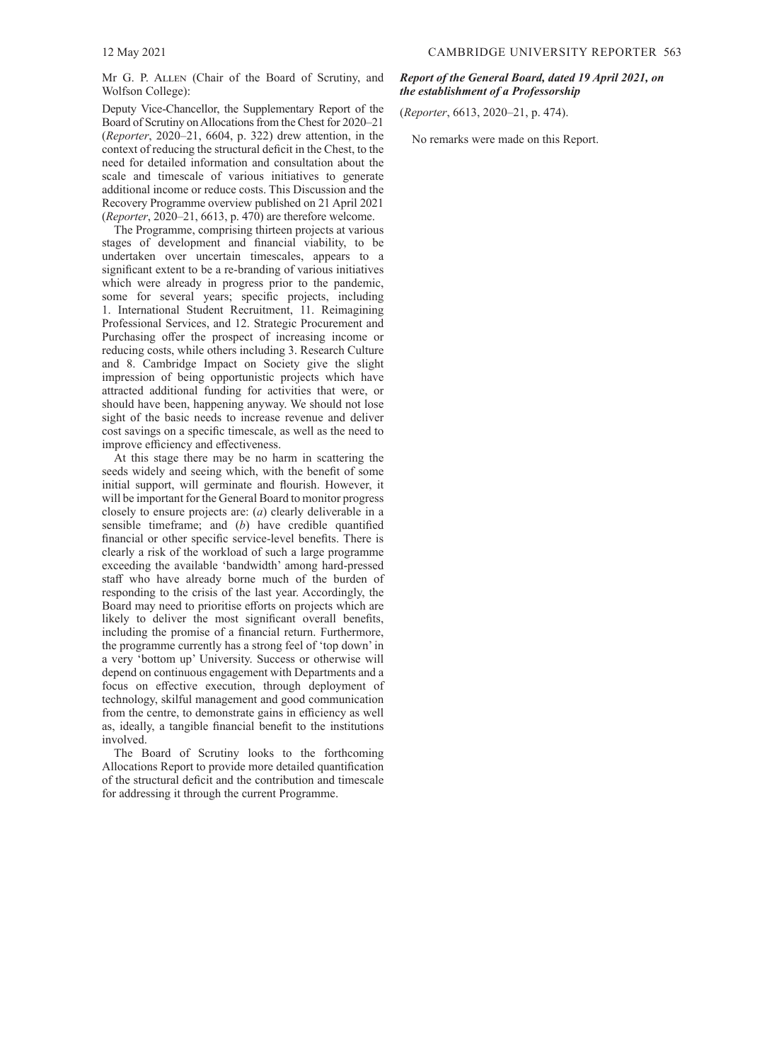<span id="page-10-0"></span>Mr G. P. Allen (Chair of the Board of Scrutiny, and Wolfson College):

Deputy Vice-Chancellor, the Supplementary Report of the Board of Scrutiny on Allocations from the Chest for 2020–21 (*Reporter*[, 2020–21, 6604, p.](https://www.admin.cam.ac.uk/reporter/2020-21/weekly/6604/6604.pdf#page=19) 322) drew attention, in the context of reducing the structural deficit in the Chest, to the need for detailed information and consultation about the scale and timescale of various initiatives to generate additional income or reduce costs. This Discussion and the Recovery Programme overview published on 21 April 2021 (*Reporter*[, 2020–21, 6613, p.](https://www.admin.cam.ac.uk/reporter/2020-21/weekly/6613/6613_public.pdf#page=3) 470) are therefore welcome.

The Programme, comprising thirteen projects at various stages of development and financial viability, to be undertaken over uncertain timescales, appears to a significant extent to be a re-branding of various initiatives which were already in progress prior to the pandemic, some for several years; specific projects, including 1. International Student Recruitment, 11. Reimagining Professional Services, and 12. Strategic Procurement and Purchasing offer the prospect of increasing income or reducing costs, while others including 3. Research Culture and 8. Cambridge Impact on Society give the slight impression of being opportunistic projects which have attracted additional funding for activities that were, or should have been, happening anyway. We should not lose sight of the basic needs to increase revenue and deliver cost savings on a specific timescale, as well as the need to improve efficiency and effectiveness.

At this stage there may be no harm in scattering the seeds widely and seeing which, with the benefit of some initial support, will germinate and flourish. However, it will be important for the General Board to monitor progress closely to ensure projects are: (*a*) clearly deliverable in a sensible timeframe; and (*b*) have credible quantified financial or other specific service-level benefits. There is clearly a risk of the workload of such a large programme exceeding the available 'bandwidth' among hard-pressed staff who have already borne much of the burden of responding to the crisis of the last year. Accordingly, the Board may need to prioritise efforts on projects which are likely to deliver the most significant overall benefits, including the promise of a financial return. Furthermore, the programme currently has a strong feel of 'top down' in a very 'bottom up' University. Success or otherwise will depend on continuous engagement with Departments and a focus on effective execution, through deployment of technology, skilful management and good communication from the centre, to demonstrate gains in efficiency as well as, ideally, a tangible financial benefit to the institutions involved.

The Board of Scrutiny looks to the forthcoming Allocations Report to provide more detailed quantification of the structural deficit and the contribution and timescale for addressing it through the current Programme.

## *Report of the General Board, dated 19 April 2021, on the establishment of a Professorship*

(*Reporter*[, 6613, 2020–21, p.](https://www.admin.cam.ac.uk/reporter/2020-21/weekly/6613/6613_public.pdf#page=7) 474).

No remarks were made on this Report.